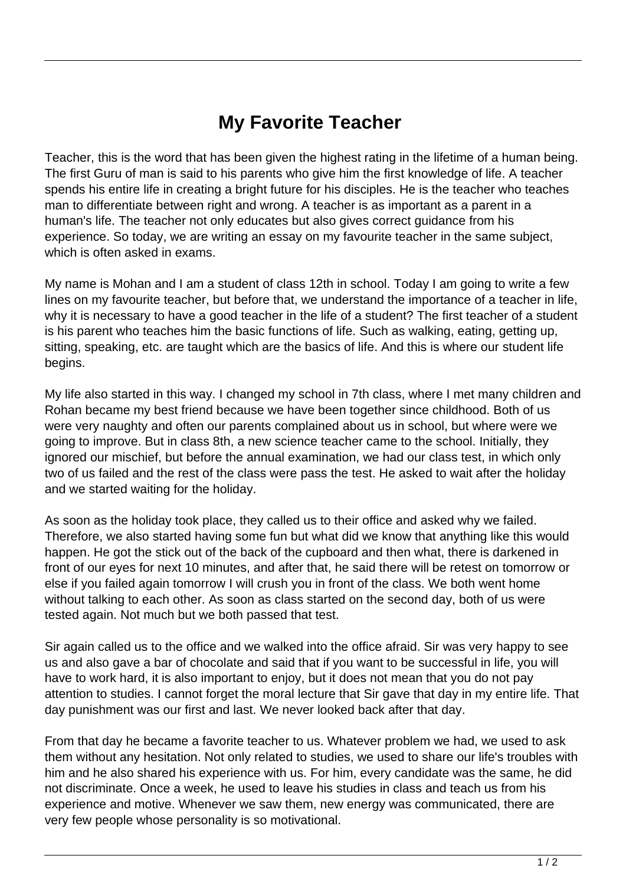## **My Favorite Teacher**

Teacher, this is the word that has been given the highest rating in the lifetime of a human being. The first Guru of man is said to his parents who give him the first knowledge of life. A teacher spends his entire life in creating a bright future for his disciples. He is the teacher who teaches man to differentiate between right and wrong. A teacher is as important as a parent in a human's life. The teacher not only educates but also gives correct guidance from his experience. So today, we are writing an essay on my favourite teacher in the same subject, which is often asked in exams.

My name is Mohan and I am a student of class 12th in school. Today I am going to write a few lines on my favourite teacher, but before that, we understand the importance of a teacher in life, why it is necessary to have a good teacher in the life of a student? The first teacher of a student is his parent who teaches him the basic functions of life. Such as walking, eating, getting up, sitting, speaking, etc. are taught which are the basics of life. And this is where our student life begins.

My life also started in this way. I changed my school in 7th class, where I met many children and Rohan became my best friend because we have been together since childhood. Both of us were very naughty and often our parents complained about us in school, but where were we going to improve. But in class 8th, a new science teacher came to the school. Initially, they ignored our mischief, but before the annual examination, we had our class test, in which only two of us failed and the rest of the class were pass the test. He asked to wait after the holiday and we started waiting for the holiday.

As soon as the holiday took place, they called us to their office and asked why we failed. Therefore, we also started having some fun but what did we know that anything like this would happen. He got the stick out of the back of the cupboard and then what, there is darkened in front of our eyes for next 10 minutes, and after that, he said there will be retest on tomorrow or else if you failed again tomorrow I will crush you in front of the class. We both went home without talking to each other. As soon as class started on the second day, both of us were tested again. Not much but we both passed that test.

Sir again called us to the office and we walked into the office afraid. Sir was very happy to see us and also gave a bar of chocolate and said that if you want to be successful in life, you will have to work hard, it is also important to enjoy, but it does not mean that you do not pay attention to studies. I cannot forget the moral lecture that Sir gave that day in my entire life. That day punishment was our first and last. We never looked back after that day.

From that day he became a favorite teacher to us. Whatever problem we had, we used to ask them without any hesitation. Not only related to studies, we used to share our life's troubles with him and he also shared his experience with us. For him, every candidate was the same, he did not discriminate. Once a week, he used to leave his studies in class and teach us from his experience and motive. Whenever we saw them, new energy was communicated, there are very few people whose personality is so motivational.